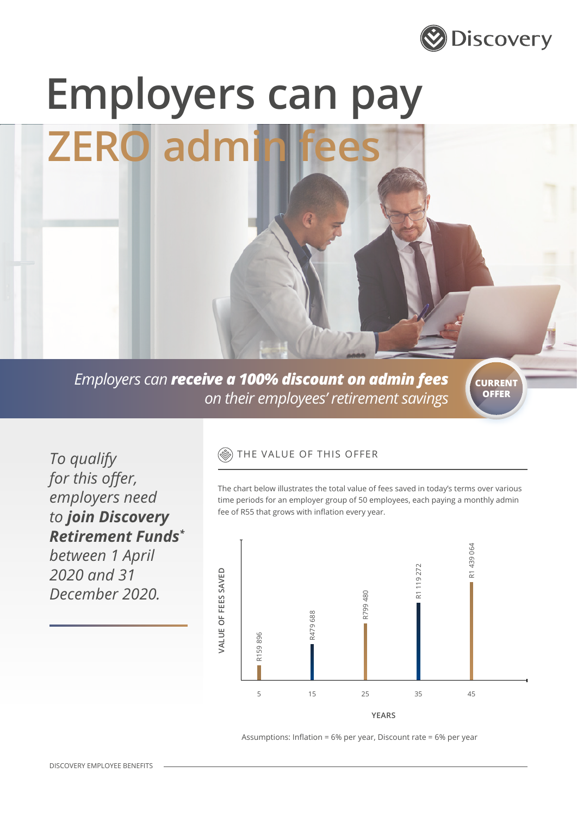

# **Employers can pay**

**ZERO** admin

*Employers can receive a 100% discount on admin fees on their employees' retirement savings*

**CURRENT OFFER**

*To qualify for this offer, employers need to join Discovery Retirement Funds\* between 1 April* 

*2020 and 31* 

*December 2020.*

### THE VALUE OF THIS OFFER

The chart below illustrates the total value of fees saved in today's terms over various time periods for an employer group of 50 employees, each paying a monthly admin fee of R55 that grows with inflation every year.



Assumptions: Inflation = 6% per year, Discount rate = 6% per year